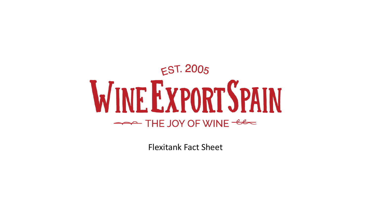# $EST. 2005$ **WINE EXPORT SPAIN** THE JOY OF WINE - es

Flexitank Fact Sheet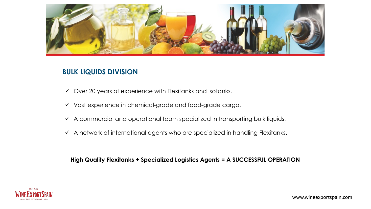

# **BULK LIQUIDS DIVISION**

- $\checkmark$  Over 20 years of experience with Flexitanks and Isotanks.
- $\checkmark$  Vast experience in chemical-grade and food-grade cargo.
- $\checkmark$  A commercial and operational team specialized in transporting bulk liquids.
- $\checkmark$  A network of international agents who are specialized in handling Flexitanks.

**High Quality Flexitanks + Specialized Logistics Agents = A SUCCESSFUL OPERATION** 

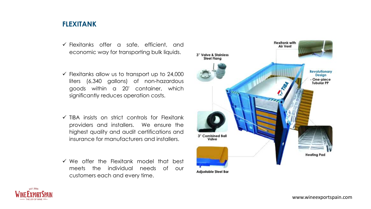# **FLEXITANK**

- $\checkmark$  Flexitanks offer a safe, efficient, and economic way for transporting bulk liquids.
- $\checkmark$  Flexitanks allow us to transport up to 24,000 liters (6,340 gallons) of non-hazardous goods within a 20' container, which significantly reduces operation costs.
- $\checkmark$  TIBA insists on strict controls for Flexitank providers and installers. We ensure the highest quality and audit certifications and insurance for manufacturers and installers.
- $\checkmark$  We offer the Flexitank model that best meets the individual needs of our customers each and every time.



**Adjustable Steel Bar** 

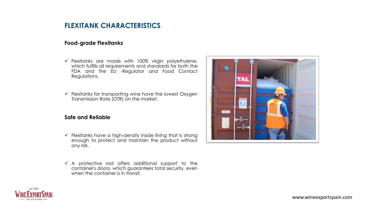## **FLEXITANK CHARACTERISTICS**

### **Food-grade Flexitanks**

- $\checkmark$  Flexitanks are made with 100% virgin polyethylene, which fulfills all requirements and standards for both the FDA and the EU -Regulator and Food Contact Regulations.
- $\checkmark$  Flexitanks for transporting wine have the lowest Oxygen Transmission Rate (OTR) on the market.

#### **Safe and Reliable**

- $\checkmark$  Flexitanks have a high-density inside lining that is strong enough to protect and maintain the product without any risk.
- $\checkmark$  A protective rod offers additional support to the container's doors, which guarantees total security, even when the container is in transit.



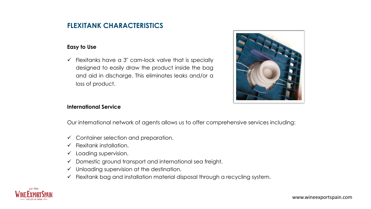## **FLEXITANK CHARACTERISTICS**

## **Easy to Use**

 $\checkmark$  Flexitanks have a 3" cam-lock valve that is specially designed to easily draw the product inside the bag and aid in discharge. This eliminates leaks and/or a loss of product.



## **International Service**

Our international network of agents allows us to offer comprehensive services including:

- $\checkmark$  Container selection and preparation.
- $\checkmark$  Flexitank installation.
- $\checkmark$  Loading supervision.
- $\checkmark$  Domestic ground transport and international sea freight.
- $\checkmark$  Unloading supervision at the destination.
- $\checkmark$  Flexitank bag and installation material disposal through a recycling system.

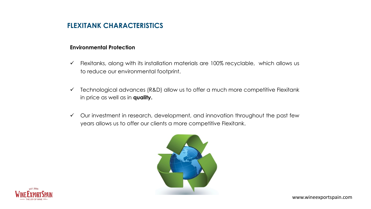# **FLEXITANK CHARACTERISTICS**

## **Environmental Protection**

- $\checkmark$  Flexitanks, along with its installation materials are 100% recyclable, which allows us to reduce our environmental footprint.
- $\checkmark$  Technological advances (R&D) allow us to offer a much more competitive Flexitank in price as well as in **quality.**
- $\checkmark$  Our investment in research, development, and innovation throughout the past few years allows us to offer our clients a more competitive Flexitank.



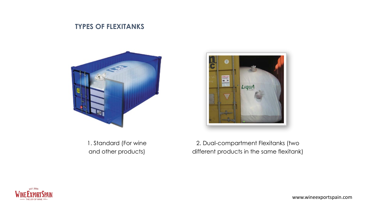## **TYPES OF FLEXITANKS**



1. Standard (For wine and other products)



2. Dual-compartment Flexitanks (two different products in the same flexitank)

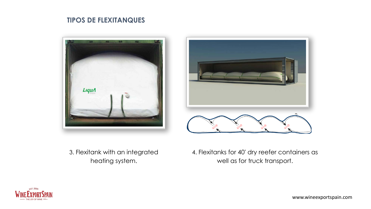# **TIPOS DE FLEXITANQUES**





3. Flexitank with an integrated heating system.

4. Flexitanks for 40' dry reefer containers as well as for truck transport.



www.wineexportspain.com